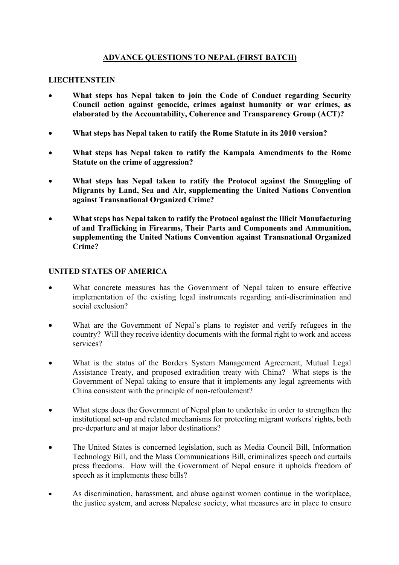## **ADVANCE QUESTIONS TO NEPAL (FIRST BATCH)**

## **LIECHTENSTEIN**

- **What steps has Nepal taken to join the Code of Conduct regarding Security Council action against genocide, crimes against humanity or war crimes, as elaborated by the Accountability, Coherence and Transparency Group (ACT)?**
- **What steps has Nepal taken to ratify the Rome Statute in its 2010 version?**
- **What steps has Nepal taken to ratify the Kampala Amendments to the Rome Statute on the crime of aggression?**
- **What steps has Nepal taken to ratify the Protocol against the Smuggling of Migrants by Land, Sea and Air, supplementing the United Nations Convention against Transnational Organized Crime?**
- **What steps has Nepal taken to ratify the Protocol against the Illicit Manufacturing of and Trafficking in Firearms, Their Parts and Components and Ammunition, supplementing the United Nations Convention against Transnational Organized Crime?**

#### **UNITED STATES OF AMERICA**

- What concrete measures has the Government of Nepal taken to ensure effective implementation of the existing legal instruments regarding anti-discrimination and social exclusion?
- What are the Government of Nepal's plans to register and verify refugees in the country? Will they receive identity documents with the formal right to work and access services?
- What is the status of the Borders System Management Agreement, Mutual Legal Assistance Treaty, and proposed extradition treaty with China? What steps is the Government of Nepal taking to ensure that it implements any legal agreements with China consistent with the principle of non-refoulement?
- What steps does the Government of Nepal plan to undertake in order to strengthen the institutional set-up and related mechanisms for protecting migrant workers' rights, both pre-departure and at major labor destinations?
- The United States is concerned legislation, such as Media Council Bill, Information Technology Bill, and the Mass Communications Bill, criminalizes speech and curtails press freedoms. How will the Government of Nepal ensure it upholds freedom of speech as it implements these bills?
- As discrimination, harassment, and abuse against women continue in the workplace, the justice system, and across Nepalese society, what measures are in place to ensure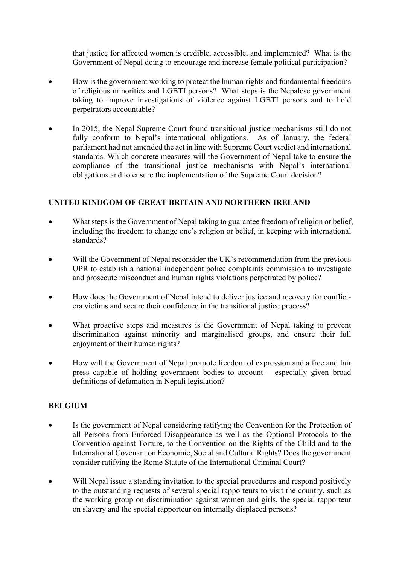that justice for affected women is credible, accessible, and implemented? What is the Government of Nepal doing to encourage and increase female political participation?

- How is the government working to protect the human rights and fundamental freedoms of religious minorities and LGBTI persons? What steps is the Nepalese government taking to improve investigations of violence against LGBTI persons and to hold perpetrators accountable?
- In 2015, the Nepal Supreme Court found transitional justice mechanisms still do not fully conform to Nepal's international obligations. As of January, the federal parliament had not amended the act in line with Supreme Court verdict and international standards. Which concrete measures will the Government of Nepal take to ensure the compliance of the transitional justice mechanisms with Nepal's international obligations and to ensure the implementation of the Supreme Court decision?

# **UNITED KINDGOM OF GREAT BRITAIN AND NORTHERN IRELAND**

- What steps is the Government of Nepal taking to guarantee freedom of religion or belief, including the freedom to change one's religion or belief, in keeping with international standards?
- Will the Government of Nepal reconsider the UK's recommendation from the previous UPR to establish a national independent police complaints commission to investigate and prosecute misconduct and human rights violations perpetrated by police?
- How does the Government of Nepal intend to deliver justice and recovery for conflictera victims and secure their confidence in the transitional justice process?
- What proactive steps and measures is the Government of Nepal taking to prevent discrimination against minority and marginalised groups, and ensure their full enjoyment of their human rights?
- How will the Government of Nepal promote freedom of expression and a free and fair press capable of holding government bodies to account – especially given broad definitions of defamation in Nepali legislation?

## **BELGIUM**

- Is the government of Nepal considering ratifying the Convention for the Protection of all Persons from Enforced Disappearance as well as the Optional Protocols to the Convention against Torture, to the Convention on the Rights of the Child and to the International Covenant on Economic, Social and Cultural Rights? Does the government consider ratifying the Rome Statute of the International Criminal Court?
- Will Nepal issue a standing invitation to the special procedures and respond positively to the outstanding requests of several special rapporteurs to visit the country, such as the working group on discrimination against women and girls, the special rapporteur on slavery and the special rapporteur on internally displaced persons?